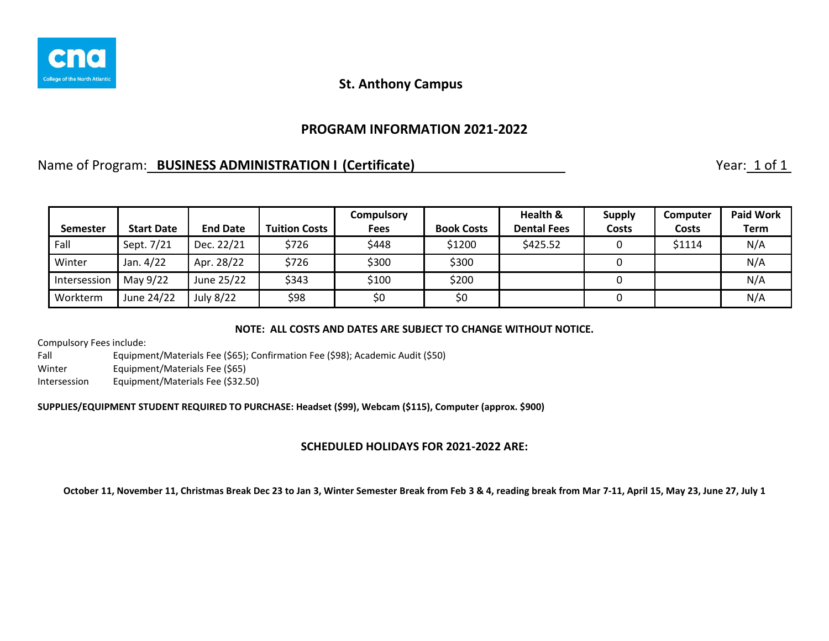

### **PROGRAM INFORMATION 2021-2022**

## Name of Program: **BUSINESS ADMINISTRATION I (Certificate)** Name of Program: 1 of 1

|                 |                   |                 |                      | <b>Compulsory</b> |                   | Health &           | <b>Supply</b> | Computer | <b>Paid Work</b> |
|-----------------|-------------------|-----------------|----------------------|-------------------|-------------------|--------------------|---------------|----------|------------------|
| <b>Semester</b> | <b>Start Date</b> | <b>End Date</b> | <b>Tuition Costs</b> | Fees              | <b>Book Costs</b> | <b>Dental Fees</b> | Costs         | Costs    | <b>Term</b>      |
| Fall            | Sept. 7/21        | Dec. 22/21      | \$726                | \$448             | \$1200            | \$425.52           |               | \$1114   | N/A              |
| Winter          | Jan. 4/22         | Apr. 28/22      | \$726                | \$300             | \$300             |                    |               |          | N/A              |
| Intersession    | May 9/22          | June 25/22      | \$343                | \$100             | \$200             |                    |               |          | N/A              |
| Workterm        | June 24/22        | July 8/22       | \$98                 | \$0               | \$0               |                    |               |          | N/A              |

#### **NOTE: ALL COSTS AND DATES ARE SUBJECT TO CHANGE WITHOUT NOTICE.**

Compulsory Fees include:

Fall Equipment/Materials Fee (\$65); Confirmation Fee (\$98); Academic Audit (\$50) Winter Equipment/Materials Fee (\$65) Intersession Equipment/Materials Fee (\$32.50)

**SUPPLIES/EQUIPMENT STUDENT REQUIRED TO PURCHASE: Headset (\$99), Webcam (\$115), Computer (approx. \$900)**

#### **SCHEDULED HOLIDAYS FOR 2021-2022 ARE:**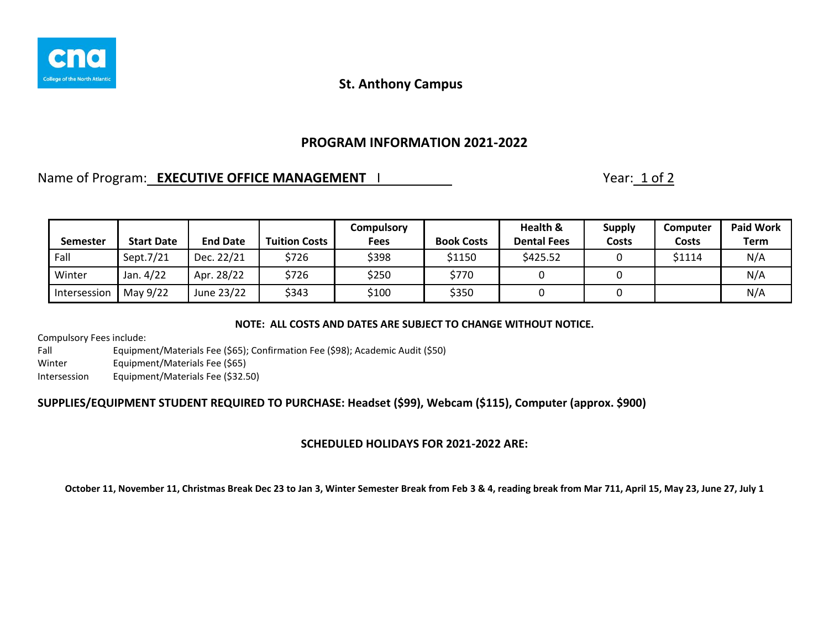

## **PROGRAM INFORMATION 2021-2022**

# Name of Program: **EXECUTIVE OFFICE MANAGEMENT** | Name of Program: 1 of 2

|                 |                   |                 |                      | Compulsory  |                   | Health &           | <b>Supply</b> | <b>Computer</b> | <b>Paid Work</b> |
|-----------------|-------------------|-----------------|----------------------|-------------|-------------------|--------------------|---------------|-----------------|------------------|
| <b>Semester</b> | <b>Start Date</b> | <b>End Date</b> | <b>Tuition Costs</b> | <b>Fees</b> | <b>Book Costs</b> | <b>Dental Fees</b> | Costs         | Costs           | Term             |
| Fall            | Sept.7/21         | Dec. 22/21      | \$726                | \$398       | \$1150            | \$425.52           |               | \$1114          | N/A              |
| Winter          | Jan. 4/22         | Apr. 28/22      | \$726                | \$250       | \$770             |                    |               |                 | N/A              |
| Intersession    | May 9/22          | June 23/22      | \$343                | \$100       | \$350             |                    |               |                 | N/A              |

#### **NOTE: ALL COSTS AND DATES ARE SUBJECT TO CHANGE WITHOUT NOTICE.**

Compulsory Fees include:

Fall Equipment/Materials Fee (\$65); Confirmation Fee (\$98); Academic Audit (\$50) Winter Equipment/Materials Fee (\$65) Intersession Equipment/Materials Fee (\$32.50)

### **SUPPLIES/EQUIPMENT STUDENT REQUIRED TO PURCHASE: Headset (\$99), Webcam (\$115), Computer (approx. \$900)**

### **SCHEDULED HOLIDAYS FOR 2021-2022 ARE:**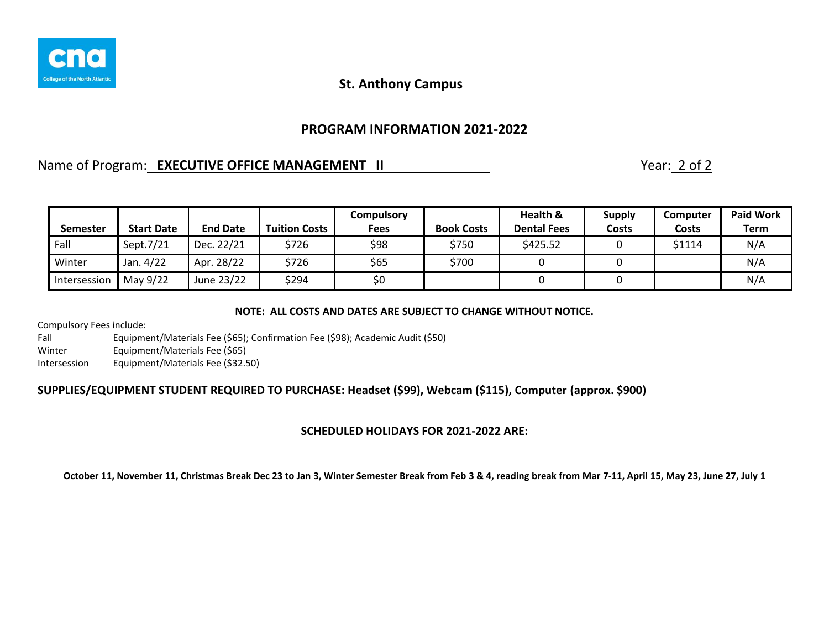

## **PROGRAM INFORMATION 2021-2022**

## Name of Program: **EXECUTIVE OFFICE MANAGEMENT II** Name of Program: 2 of 2

| Semester     | <b>Start Date</b> | <b>End Date</b> | <b>Tuition Costs</b> | Compulsory<br>Fees | <b>Book Costs</b> | Health &<br><b>Dental Fees</b> | <b>Supply</b><br>Costs | <b>Computer</b><br>Costs | <b>Paid Work</b><br><b>Term</b> |
|--------------|-------------------|-----------------|----------------------|--------------------|-------------------|--------------------------------|------------------------|--------------------------|---------------------------------|
| Fall         | Sept.7/21         | Dec. 22/21      | \$726                | \$98               | \$750             | \$425.52                       |                        | \$1114                   | N/A                             |
| Winter       | Jan. 4/22         | Apr. 28/22      | \$726                | \$65               | \$700             |                                |                        |                          | N/A                             |
| Intersession | May 9/22          | June 23/22      | \$294                | \$0                |                   |                                |                        |                          | N/A                             |

#### **NOTE: ALL COSTS AND DATES ARE SUBJECT TO CHANGE WITHOUT NOTICE.**

Compulsory Fees include:

Fall Equipment/Materials Fee (\$65); Confirmation Fee (\$98); Academic Audit (\$50)

Winter Equipment/Materials Fee (\$65)

Intersession Equipment/Materials Fee (\$32.50)

### **SUPPLIES/EQUIPMENT STUDENT REQUIRED TO PURCHASE: Headset (\$99), Webcam (\$115), Computer (approx. \$900)**

### **SCHEDULED HOLIDAYS FOR 2021-2022 ARE:**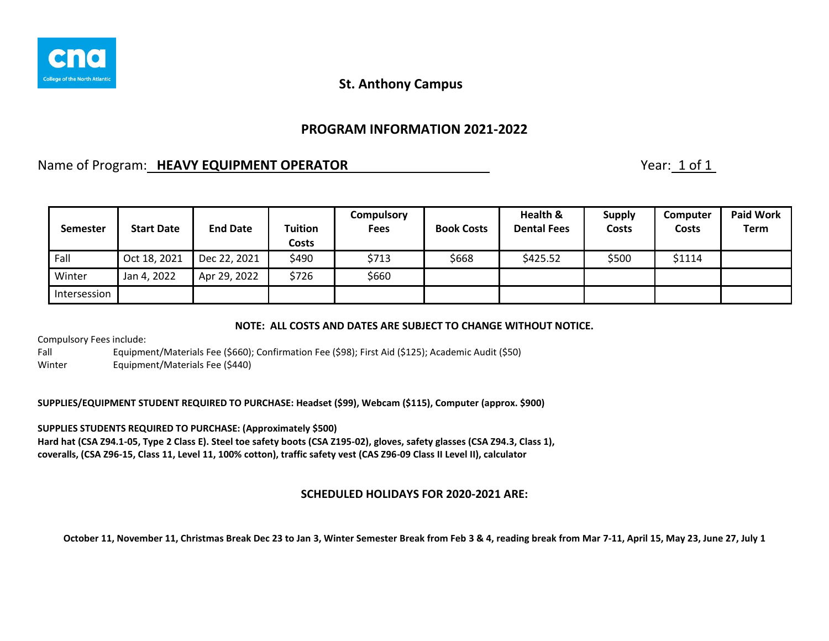

## **PROGRAM INFORMATION 2021-2022**

## Name of Program: **HEAVY EQUIPMENT OPERATOR** Name of Program: 1 of 1

| <b>Semester</b> | <b>Start Date</b> | <b>End Date</b> | Tuition<br><b>Costs</b> | <b>Compulsory</b><br><b>Fees</b> | <b>Book Costs</b> | Health &<br><b>Dental Fees</b> | <b>Supply</b><br><b>Costs</b> | <b>Computer</b><br>Costs | <b>Paid Work</b><br>Term |
|-----------------|-------------------|-----------------|-------------------------|----------------------------------|-------------------|--------------------------------|-------------------------------|--------------------------|--------------------------|
| Fall            | Oct 18, 2021      | Dec 22, 2021    | \$490                   | \$713                            | \$668             | \$425.52                       | \$500                         | \$1114                   |                          |
| Winter          | Jan 4, 2022       | Apr 29, 2022    | \$726                   | \$660                            |                   |                                |                               |                          |                          |
| Intersession    |                   |                 |                         |                                  |                   |                                |                               |                          |                          |

**NOTE: ALL COSTS AND DATES ARE SUBJECT TO CHANGE WITHOUT NOTICE.**

Compulsory Fees include:

Fall Equipment/Materials Fee (\$660); Confirmation Fee (\$98); First Aid (\$125); Academic Audit (\$50) Winter Equipment/Materials Fee (\$440)

**SUPPLIES/EQUIPMENT STUDENT REQUIRED TO PURCHASE: Headset (\$99), Webcam (\$115), Computer (approx. \$900)**

**SUPPLIES STUDENTS REQUIRED TO PURCHASE: (Approximately \$500) Hard hat (CSA Z94.1-05, Type 2 Class E). Steel toe safety boots (CSA Z195-02), gloves, safety glasses (CSA Z94.3, Class 1), coveralls, (CSA Z96-15, Class 11, Level 11, 100% cotton), traffic safety vest (CAS Z96-09 Class II Level II), calculator**

#### **SCHEDULED HOLIDAYS FOR 2020-2021 ARE:**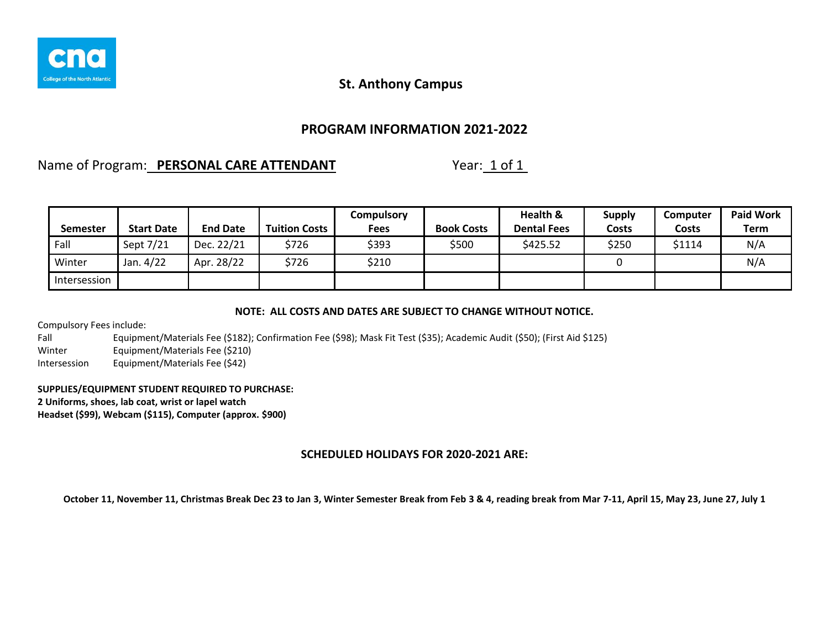

### **PROGRAM INFORMATION 2021-2022**

### Name of Program: **PERSONAL CARE ATTENDANT** Year: 1 of 1

| <b>Semester</b> | <b>Start Date</b> | <b>End Date</b> | <b>Tuition Costs</b> | <b>Compulsory</b><br>Fees | <b>Book Costs</b> | Health &<br><b>Dental Fees</b> | <b>Supply</b><br>Costs | <b>Computer</b><br>Costs | <b>Paid Work</b><br><b>Term</b> |
|-----------------|-------------------|-----------------|----------------------|---------------------------|-------------------|--------------------------------|------------------------|--------------------------|---------------------------------|
| Fall            | Sept 7/21         | Dec. 22/21      | \$726                | \$393                     | \$500             | \$425.52                       | \$250                  | \$1114                   | N/A                             |
| Winter          | Jan. 4/22         | Apr. 28/22      | \$726                | \$210                     |                   |                                |                        |                          | N/A                             |
| Intersession    |                   |                 |                      |                           |                   |                                |                        |                          |                                 |

#### **NOTE: ALL COSTS AND DATES ARE SUBJECT TO CHANGE WITHOUT NOTICE.**

Compulsory Fees include:

Fall Equipment/Materials Fee (\$182); Confirmation Fee (\$98); Mask Fit Test (\$35); Academic Audit (\$50); (First Aid \$125) Winter Equipment/Materials Fee (\$210)

Intersession Equipment/Materials Fee (\$42)

#### **SUPPLIES/EQUIPMENT STUDENT REQUIRED TO PURCHASE:**

**2 Uniforms, shoes, lab coat, wrist or lapel watch**

**Headset (\$99), Webcam (\$115), Computer (approx. \$900)**

### **SCHEDULED HOLIDAYS FOR 2020-2021 ARE:**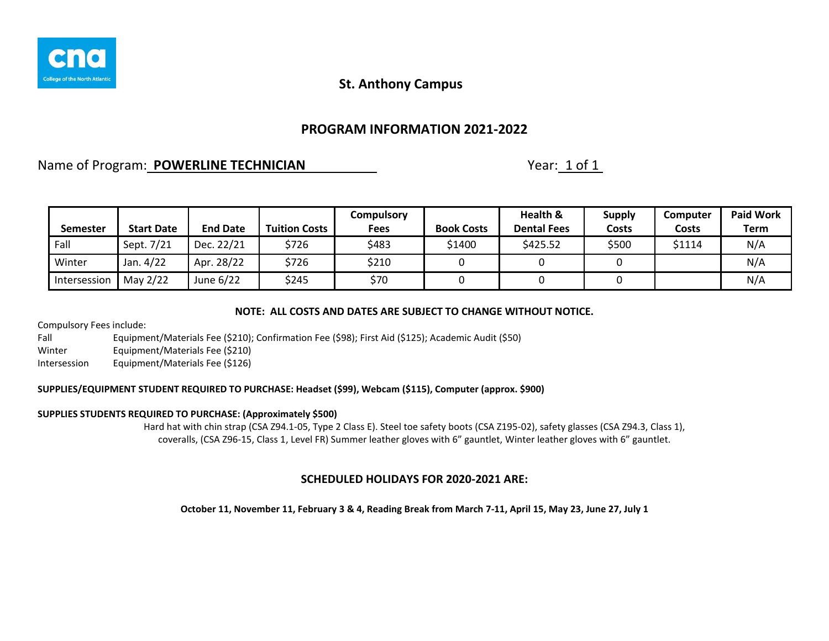

## **PROGRAM INFORMATION 2021-2022**

## Name of Program: **POWERLINE TECHNICIAN** Name of Program: 1 of 1

| <b>Semester</b> | <b>Start Date</b> | <b>End Date</b> | <b>Tuition Costs</b> | <b>Compulsory</b><br><b>Fees</b> | <b>Book Costs</b> | Health &<br><b>Dental Fees</b> | <b>Supply</b><br>Costs | Computer<br>Costs | <b>Paid Work</b><br><b>Term</b> |
|-----------------|-------------------|-----------------|----------------------|----------------------------------|-------------------|--------------------------------|------------------------|-------------------|---------------------------------|
| Fall            | Sept. 7/21        | Dec. 22/21      | \$726                | \$483                            | \$1400            | \$425.52                       | \$500                  | \$1114            | N/A                             |
| Winter          | Jan. 4/22         | Apr. 28/22      | \$726                | \$210                            |                   |                                |                        |                   | N/A                             |
| Intersession    | May 2/22          | June 6/22       | \$245                | \$70                             |                   |                                |                        |                   | N/A                             |

#### **NOTE: ALL COSTS AND DATES ARE SUBJECT TO CHANGE WITHOUT NOTICE.**

Compulsory Fees include:

Fall Equipment/Materials Fee (\$210); Confirmation Fee (\$98); First Aid (\$125); Academic Audit (\$50) Winter Equipment/Materials Fee (\$210) Intersession Equipment/Materials Fee (\$126)

## **SUPPLIES/EQUIPMENT STUDENT REQUIRED TO PURCHASE: Headset (\$99), Webcam (\$115), Computer (approx. \$900)**

#### **SUPPLIES STUDENTS REQUIRED TO PURCHASE: (Approximately \$500)**

Hard hat with chin strap (CSA Z94.1-05, Type 2 Class E). Steel toe safety boots (CSA Z195-02), safety glasses (CSA Z94.3, Class 1), coveralls, (CSA Z96-15, Class 1, Level FR) Summer leather gloves with 6" gauntlet, Winter leather gloves with 6" gauntlet.

#### **SCHEDULED HOLIDAYS FOR 2020-2021 ARE:**

**October 11, November 11, February 3 & 4, Reading Break from March 7-11, April 15, May 23, June 27, July 1**